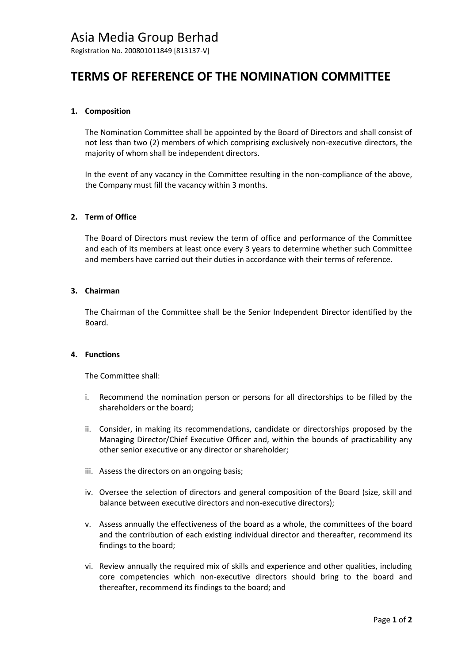# Asia Media Group Berhad

Registration No. 200801011849 [813137-V]

# **TERMS OF REFERENCE OF THE NOMINATION COMMITTEE**

### **1. Composition**

The Nomination Committee shall be appointed by the Board of Directors and shall consist of not less than two (2) members of which comprising exclusively non-executive directors, the majority of whom shall be independent directors.

In the event of any vacancy in the Committee resulting in the non-compliance of the above, the Company must fill the vacancy within 3 months.

### **2. Term of Office**

The Board of Directors must review the term of office and performance of the Committee and each of its members at least once every 3 years to determine whether such Committee and members have carried out their duties in accordance with their terms of reference.

#### **3. Chairman**

The Chairman of the Committee shall be the Senior Independent Director identified by the Board.

### **4. Functions**

The Committee shall:

- i. Recommend the nomination person or persons for all directorships to be filled by the shareholders or the board;
- ii. Consider, in making its recommendations, candidate or directorships proposed by the Managing Director/Chief Executive Officer and, within the bounds of practicability any other senior executive or any director or shareholder;
- iii. Assess the directors on an ongoing basis;
- iv. Oversee the selection of directors and general composition of the Board (size, skill and balance between executive directors and non-executive directors);
- v. Assess annually the effectiveness of the board as a whole, the committees of the board and the contribution of each existing individual director and thereafter, recommend its findings to the board;
- vi. Review annually the required mix of skills and experience and other qualities, including core competencies which non-executive directors should bring to the board and thereafter, recommend its findings to the board; and